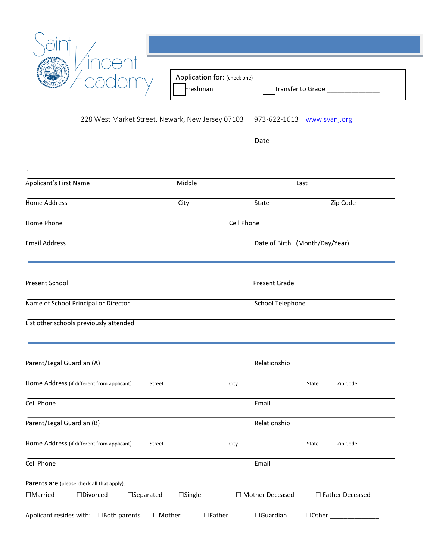| 228 West Market Street, Newark, New Jersey 07103 973-622-1613 www.svanj.org<br>Date and the contract of the contract of the contract of the contract of the contract of the contract of the contract of the contract of the contract of the contract of the contract of the contract of the contract of the c<br>Applicant's First Name<br>Middle<br>Last<br>Zip Code<br><b>Home Address</b><br>City<br>State<br>Home Phone<br>Cell Phone<br><b>Email Address</b><br>Date of Birth (Month/Day/Year)<br>Present School<br>Present Grade<br><b>School Telephone</b><br>Name of School Principal or Director<br>List other schools previously attended<br>Parent/Legal Guardian (A)<br>Relationship<br>Home Address (if different from applicant)<br>City<br>Zip Code<br>Street<br>State<br>Cell Phone<br>Email<br>Parent/Legal Guardian (B)<br>Relationship<br>Home Address (if different from applicant)<br>Zip Code<br>Street<br>City<br>State<br>Cell Phone<br>Email<br>Parents are (please check all that apply): | Transfer to Grade _________________ |  |  | Application for: (check one)<br>Freshman |  |  |
|---------------------------------------------------------------------------------------------------------------------------------------------------------------------------------------------------------------------------------------------------------------------------------------------------------------------------------------------------------------------------------------------------------------------------------------------------------------------------------------------------------------------------------------------------------------------------------------------------------------------------------------------------------------------------------------------------------------------------------------------------------------------------------------------------------------------------------------------------------------------------------------------------------------------------------------------------------------------------------------------------------------------|-------------------------------------|--|--|------------------------------------------|--|--|
|                                                                                                                                                                                                                                                                                                                                                                                                                                                                                                                                                                                                                                                                                                                                                                                                                                                                                                                                                                                                                     |                                     |  |  |                                          |  |  |
|                                                                                                                                                                                                                                                                                                                                                                                                                                                                                                                                                                                                                                                                                                                                                                                                                                                                                                                                                                                                                     |                                     |  |  |                                          |  |  |
|                                                                                                                                                                                                                                                                                                                                                                                                                                                                                                                                                                                                                                                                                                                                                                                                                                                                                                                                                                                                                     |                                     |  |  |                                          |  |  |
|                                                                                                                                                                                                                                                                                                                                                                                                                                                                                                                                                                                                                                                                                                                                                                                                                                                                                                                                                                                                                     |                                     |  |  |                                          |  |  |
|                                                                                                                                                                                                                                                                                                                                                                                                                                                                                                                                                                                                                                                                                                                                                                                                                                                                                                                                                                                                                     |                                     |  |  |                                          |  |  |
|                                                                                                                                                                                                                                                                                                                                                                                                                                                                                                                                                                                                                                                                                                                                                                                                                                                                                                                                                                                                                     |                                     |  |  |                                          |  |  |
|                                                                                                                                                                                                                                                                                                                                                                                                                                                                                                                                                                                                                                                                                                                                                                                                                                                                                                                                                                                                                     |                                     |  |  |                                          |  |  |
|                                                                                                                                                                                                                                                                                                                                                                                                                                                                                                                                                                                                                                                                                                                                                                                                                                                                                                                                                                                                                     |                                     |  |  |                                          |  |  |
|                                                                                                                                                                                                                                                                                                                                                                                                                                                                                                                                                                                                                                                                                                                                                                                                                                                                                                                                                                                                                     |                                     |  |  |                                          |  |  |
|                                                                                                                                                                                                                                                                                                                                                                                                                                                                                                                                                                                                                                                                                                                                                                                                                                                                                                                                                                                                                     |                                     |  |  |                                          |  |  |
|                                                                                                                                                                                                                                                                                                                                                                                                                                                                                                                                                                                                                                                                                                                                                                                                                                                                                                                                                                                                                     |                                     |  |  |                                          |  |  |
|                                                                                                                                                                                                                                                                                                                                                                                                                                                                                                                                                                                                                                                                                                                                                                                                                                                                                                                                                                                                                     |                                     |  |  |                                          |  |  |
|                                                                                                                                                                                                                                                                                                                                                                                                                                                                                                                                                                                                                                                                                                                                                                                                                                                                                                                                                                                                                     |                                     |  |  |                                          |  |  |
|                                                                                                                                                                                                                                                                                                                                                                                                                                                                                                                                                                                                                                                                                                                                                                                                                                                                                                                                                                                                                     |                                     |  |  |                                          |  |  |
| $\square$ Divorced<br>$\square$ Separated<br>$\square$ Single<br>□ Mother Deceased<br>□ Father Deceased<br>$\Box$ Married                                                                                                                                                                                                                                                                                                                                                                                                                                                                                                                                                                                                                                                                                                                                                                                                                                                                                           |                                     |  |  |                                          |  |  |

ı